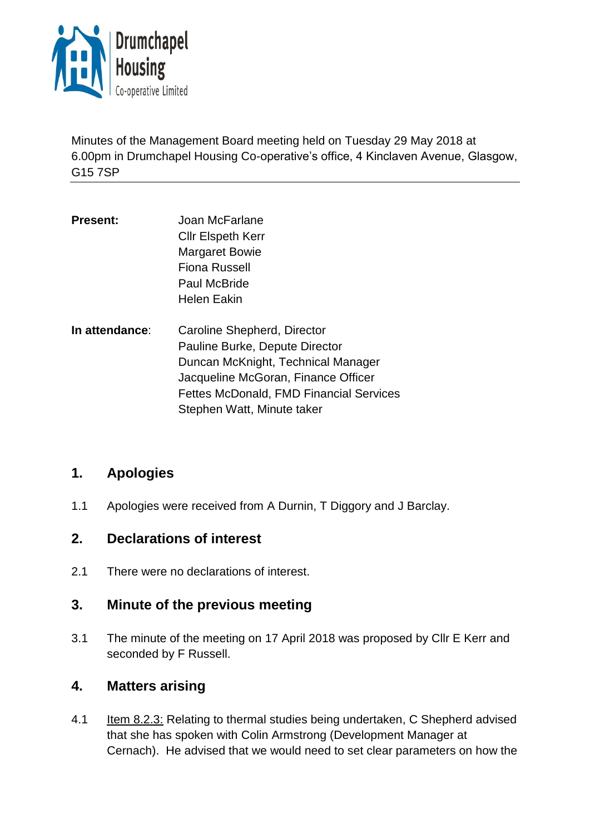

Minutes of the Management Board meeting held on Tuesday 29 May 2018 at 6.00pm in Drumchapel Housing Co-operative's office, 4 Kinclaven Avenue, Glasgow, G15 7SP

- **Present:** Joan McFarlane Cllr Elspeth Kerr Margaret Bowie Fiona Russell Paul McBride Helen Eakin
- **In attendance**: Caroline Shepherd, Director Pauline Burke, Depute Director Duncan McKnight, Technical Manager Jacqueline McGoran, Finance Officer Fettes McDonald, FMD Financial Services Stephen Watt, Minute taker

# **1. Apologies**

1.1 Apologies were received from A Durnin, T Diggory and J Barclay.

# **2. Declarations of interest**

2.1 There were no declarations of interest.

# **3. Minute of the previous meeting**

3.1 The minute of the meeting on 17 April 2018 was proposed by Cllr E Kerr and seconded by F Russell.

# **4. Matters arising**

4.1 Item 8.2.3: Relating to thermal studies being undertaken, C Shepherd advised that she has spoken with Colin Armstrong (Development Manager at Cernach). He advised that we would need to set clear parameters on how the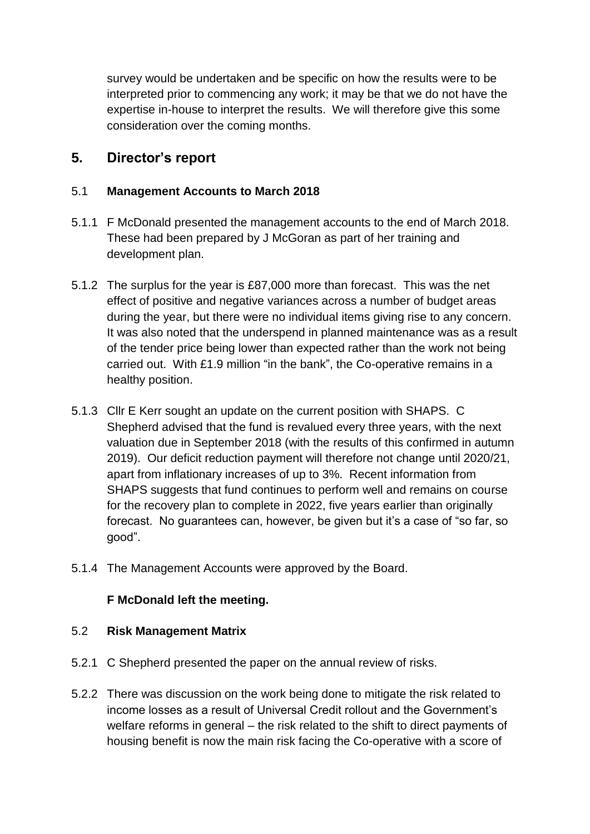survey would be undertaken and be specific on how the results were to be interpreted prior to commencing any work; it may be that we do not have the expertise in-house to interpret the results. We will therefore give this some consideration over the coming months.

# **5. Director's report**

## 5.1 **Management Accounts to March 2018**

- 5.1.1 F McDonald presented the management accounts to the end of March 2018. These had been prepared by J McGoran as part of her training and development plan.
- 5.1.2 The surplus for the year is £87,000 more than forecast. This was the net effect of positive and negative variances across a number of budget areas during the year, but there were no individual items giving rise to any concern. It was also noted that the underspend in planned maintenance was as a result of the tender price being lower than expected rather than the work not being carried out. With £1.9 million "in the bank", the Co-operative remains in a healthy position.
- 5.1.3 Cllr E Kerr sought an update on the current position with SHAPS. C Shepherd advised that the fund is revalued every three years, with the next valuation due in September 2018 (with the results of this confirmed in autumn 2019). Our deficit reduction payment will therefore not change until 2020/21, apart from inflationary increases of up to 3%. Recent information from SHAPS suggests that fund continues to perform well and remains on course for the recovery plan to complete in 2022, five years earlier than originally forecast. No guarantees can, however, be given but it's a case of "so far, so good".
- 5.1.4 The Management Accounts were approved by the Board.

## **F McDonald left the meeting.**

## 5.2 **Risk Management Matrix**

- 5.2.1 C Shepherd presented the paper on the annual review of risks.
- 5.2.2 There was discussion on the work being done to mitigate the risk related to income losses as a result of Universal Credit rollout and the Government's welfare reforms in general – the risk related to the shift to direct payments of housing benefit is now the main risk facing the Co-operative with a score of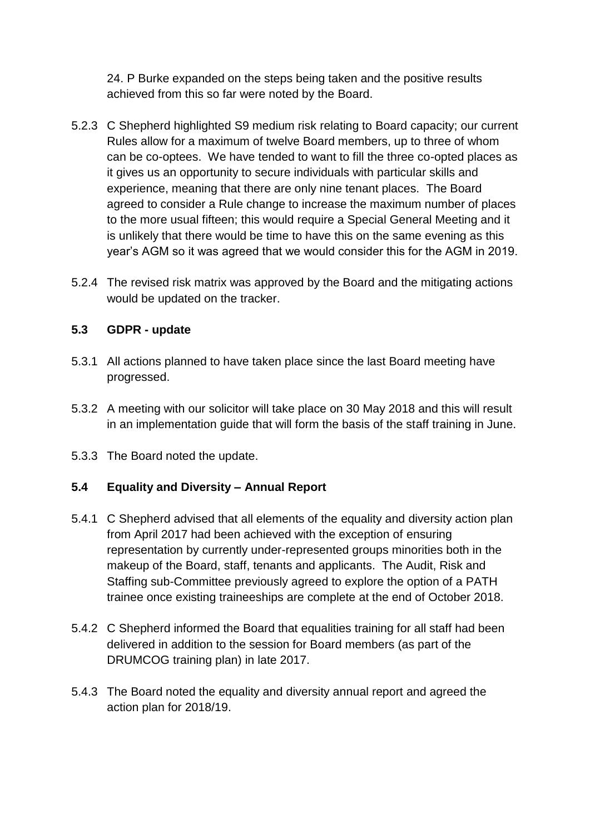24. P Burke expanded on the steps being taken and the positive results achieved from this so far were noted by the Board.

- 5.2.3 C Shepherd highlighted S9 medium risk relating to Board capacity; our current Rules allow for a maximum of twelve Board members, up to three of whom can be co-optees. We have tended to want to fill the three co-opted places as it gives us an opportunity to secure individuals with particular skills and experience, meaning that there are only nine tenant places. The Board agreed to consider a Rule change to increase the maximum number of places to the more usual fifteen; this would require a Special General Meeting and it is unlikely that there would be time to have this on the same evening as this year's AGM so it was agreed that we would consider this for the AGM in 2019.
- 5.2.4 The revised risk matrix was approved by the Board and the mitigating actions would be updated on the tracker.

## **5.3 GDPR - update**

- 5.3.1 All actions planned to have taken place since the last Board meeting have progressed.
- 5.3.2 A meeting with our solicitor will take place on 30 May 2018 and this will result in an implementation guide that will form the basis of the staff training in June.
- 5.3.3 The Board noted the update.

## **5.4 Equality and Diversity – Annual Report**

- 5.4.1 C Shepherd advised that all elements of the equality and diversity action plan from April 2017 had been achieved with the exception of ensuring representation by currently under-represented groups minorities both in the makeup of the Board, staff, tenants and applicants. The Audit, Risk and Staffing sub-Committee previously agreed to explore the option of a PATH trainee once existing traineeships are complete at the end of October 2018.
- 5.4.2 C Shepherd informed the Board that equalities training for all staff had been delivered in addition to the session for Board members (as part of the DRUMCOG training plan) in late 2017.
- 5.4.3 The Board noted the equality and diversity annual report and agreed the action plan for 2018/19.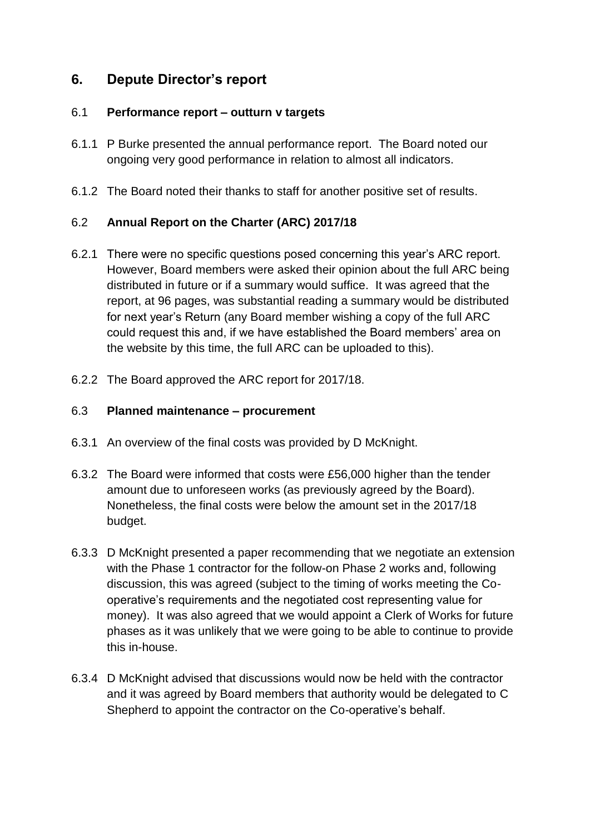# **6. Depute Director's report**

#### 6.1 **Performance report – outturn v targets**

- 6.1.1 P Burke presented the annual performance report. The Board noted our ongoing very good performance in relation to almost all indicators.
- 6.1.2 The Board noted their thanks to staff for another positive set of results.

## 6.2 **Annual Report on the Charter (ARC) 2017/18**

- 6.2.1 There were no specific questions posed concerning this year's ARC report. However, Board members were asked their opinion about the full ARC being distributed in future or if a summary would suffice. It was agreed that the report, at 96 pages, was substantial reading a summary would be distributed for next year's Return (any Board member wishing a copy of the full ARC could request this and, if we have established the Board members' area on the website by this time, the full ARC can be uploaded to this).
- 6.2.2 The Board approved the ARC report for 2017/18.

#### 6.3 **Planned maintenance – procurement**

- 6.3.1 An overview of the final costs was provided by D McKnight.
- 6.3.2 The Board were informed that costs were £56,000 higher than the tender amount due to unforeseen works (as previously agreed by the Board). Nonetheless, the final costs were below the amount set in the 2017/18 budget.
- 6.3.3 D McKnight presented a paper recommending that we negotiate an extension with the Phase 1 contractor for the follow-on Phase 2 works and, following discussion, this was agreed (subject to the timing of works meeting the Cooperative's requirements and the negotiated cost representing value for money). It was also agreed that we would appoint a Clerk of Works for future phases as it was unlikely that we were going to be able to continue to provide this in-house.
- 6.3.4 D McKnight advised that discussions would now be held with the contractor and it was agreed by Board members that authority would be delegated to C Shepherd to appoint the contractor on the Co-operative's behalf.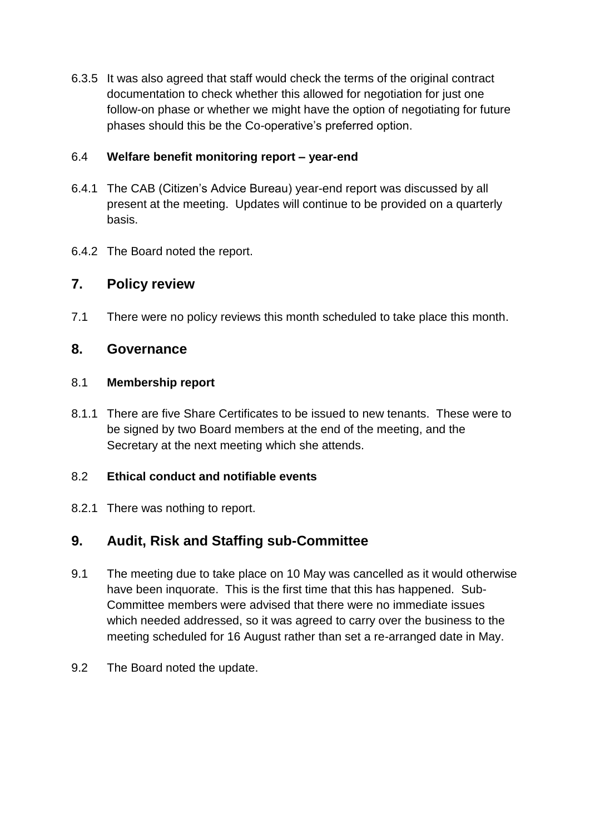6.3.5 It was also agreed that staff would check the terms of the original contract documentation to check whether this allowed for negotiation for just one follow-on phase or whether we might have the option of negotiating for future phases should this be the Co-operative's preferred option.

## 6.4 **Welfare benefit monitoring report – year-end**

- 6.4.1 The CAB (Citizen's Advice Bureau) year-end report was discussed by all present at the meeting. Updates will continue to be provided on a quarterly basis.
- 6.4.2 The Board noted the report.

## **7. Policy review**

7.1 There were no policy reviews this month scheduled to take place this month.

## **8. Governance**

## 8.1 **Membership report**

8.1.1 There are five Share Certificates to be issued to new tenants. These were to be signed by two Board members at the end of the meeting, and the Secretary at the next meeting which she attends.

## 8.2 **Ethical conduct and notifiable events**

8.2.1 There was nothing to report.

# **9. Audit, Risk and Staffing sub-Committee**

- 9.1 The meeting due to take place on 10 May was cancelled as it would otherwise have been inquorate. This is the first time that this has happened. Sub-Committee members were advised that there were no immediate issues which needed addressed, so it was agreed to carry over the business to the meeting scheduled for 16 August rather than set a re-arranged date in May.
- 9.2 The Board noted the update.